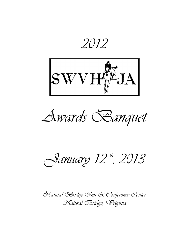2012



Awards Banquet

Sanuary 12th, 2013

Natural Bridge Inn & Conference Center Natural Bridge, Vriginia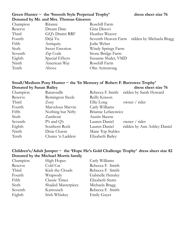## Green Hunter ~ the 'Smooth Style Perpetual Trophy' dress sheet size 76 Donated by Mr. and Mrs. Thomas Ginaven

| Champion | Ritanni         | Rosehill Farm       |                          |
|----------|-----------------|---------------------|--------------------------|
| Reserve  | Dream Date      | Gina Dinovi         |                          |
| Third    | GQ's Dmitri RRF | Heather Weaver      |                          |
| Fourth   | Déjà Vu         | Seventh Heaven Farm | ridden by Michaela Bragg |
| Fifth    | Antiquity       | Jodie Weber         |                          |
| Sixth    | Sweet Emotion   | Windy Springs Farm  |                          |
| Seventh  | Zip Code        | Stone Bridge Farm   |                          |
| Eighth   | Special Effects | Suzanne Shalet, VMD |                          |
| Ninth    | American Way    | Rosehill Farm       |                          |
| Tenth    | Above           | Olin Armstrong      |                          |

### Small/Medium Pony Hunter ~ the 'In Memory of Robert F. Burrowes Trophy'<br>Donated by Susan Bailey dress sheet size 76 Donated by Susan Bailey

| Champion | Ratatouille       |                    | Rebecca F. Smith ridden by Sarah Howard |
|----------|-------------------|--------------------|-----------------------------------------|
| Reserve  | Remington Steele  | Reilly Krason      |                                         |
| Third    | Zoey              | Ellie Long         | owner / rider                           |
| Fourth   | Marvelous Marvin  | Carly Williams     |                                         |
| Fifth    | Nothing but Nifty | Brianne Lefanowicz |                                         |
| Sixth    | Zamboni           | Austin Skeens      |                                         |
| Seventh  | $P's$ and $Q's$   | Lauren Daniel      | owner / rider                           |
| Eighth   | Southern Rock     | Lauren Daniel      | ridden by Ann Ashley Daniel             |
| Ninth    | Dixie Charm       | Mane Top Stables   |                                         |
| Tenth    | Chutes 'n Ladders | Elizabeth Bailey   |                                         |
|          |                   |                    |                                         |

### Children's/Adult Jumper ~ the 'Hope He's Gold Challenge Trophy' dress sheet size 82 Donated by the Michael Morris family

| <b>High Hopes</b>    | Carly Williams          |
|----------------------|-------------------------|
| Cold Cat             | Rebecca F. Smith        |
| Kick the Clouds      | Rebecca F. Smith        |
| Wrapsody             | Gabrielle Hensley       |
| <b>Classic Times</b> | <b>Elizabeth Stutts</b> |
| Shaded Masterpiece   | Michaela Bragg          |
| Kartousch            | Rebecca F. Smith        |
| Irish Whiskey        | <b>Emily Guyer</b>      |
|                      |                         |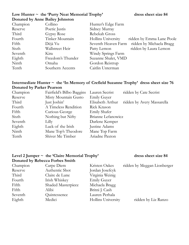### Low Hunter ~ the 'Purty Neat Memorial Trophy' dress sheet size 84 Donated by Anne Bailey Johnston

| Champion | Collino           | Hunter's Edge Farm  |                           |
|----------|-------------------|---------------------|---------------------------|
| Reserve  | Poetic Justis     | Sidney Murray       |                           |
| Third    | Gypsy Rose        | Rebekah Gross       |                           |
| Fourth   | Tinker Mountain   | Hollins University  | ridden by Emma Lane Poole |
| Fifth    | Déjà Vu           | Seventh Heaven Farm | ridden by Michaela Bragg  |
| Sixth    | Wallstreet Heir   | Patty Lemon         | ridden by Laura Lemon     |
| Seventh  | Kira              | Windy Springs Farm  |                           |
| Eighth   | Freedom's Thunder | Suzanne Shalet, VMD |                           |
| Ninth    | Omaha             | Gordon Reistrup     |                           |
| Tenth    | Southern Accents  | Caitlin Unterman    |                           |

### Intermediate Hunter ~ the 'In Memory of Crefield Suzanne Trophy' dress sheet size 76 Donated by Parker Pearson

| Champion | Fairfield's Bilbo Baggins | Lauren Secrist      | ridden by Cate Secrist     |
|----------|---------------------------|---------------------|----------------------------|
| Reserve  | Misty Mountain Gusto      | <b>Emily Guyer</b>  |                            |
| Third    | Just Joshin'              | Elisabeth Arthur    | ridden by Avery Massarella |
| Fourth   | A Timeless Rendition      | Rick Krason         |                            |
| Fifth    | Curious George            | <b>Emily Shafer</b> |                            |
| Sixth    | Nothing but Nifty         | Brianne Lefanowicz  |                            |
| Seventh  | Lilly                     | Darlene Kemper      |                            |
| Eighth   | Luck of the Irish         | Justine Adams       |                            |
| Ninth    | Mane Top's Theodore       | Mane Top Farm       |                            |
| Tenth    | Shiver Me Timber          | Ariadne Paxton      |                            |

# Level 2 Jumper ~ the 'Claire Memorial Trophy' dress sheet size 84 Donated by Rebecca Forbes Smith

|          | Donated by Rebecca I orbes billui |                    |                             |
|----------|-----------------------------------|--------------------|-----------------------------|
| Champion | Carpe Diem                        | Kristen Oakes      | ridden by Meggan Lionberger |
| Reserve  | Authentic Shot                    | Jordan Josefcyk    |                             |
| Third    | Claire de Lune                    | Virginia Weinig    |                             |
| Fourth   | Irish Whiskey                     | <b>Emily Guyer</b> |                             |
| Fifth    | Shaded Masterpiece                | Michaela Bragg     |                             |
| Fifth    | Alibi                             | Britni J. Cash     |                             |
| Seventh  | Quintessence                      | Lauren Perhala     |                             |
| Eighth   | Medici                            | Hollins University | ridden by Liz Ranzo         |
|          |                                   |                    |                             |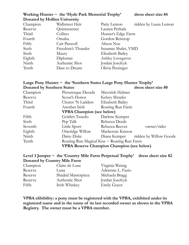| Champion | Wallstreet Heir   | Patty Lemon         | ridden by Laura Lemon |
|----------|-------------------|---------------------|-----------------------|
| Reserve  | Quintessence      | Lauren Perhala      |                       |
| Third    | Collino           | Hunter's Edge Farm  |                       |
| Fourth   | Omaha             | Gordon Reistrup     |                       |
| Fifth    | Cair Paravell     | Alison Noe          |                       |
| Sixth    | Freedom's Thunder | Suzanne Shalet, VMD |                       |
| Sixth    | Maury             | Elizabeth Bailey    |                       |
| Eighth   | Diplomat          | Ashley Lovegrove    |                       |
| Ninth    | Authentic Shot    | Jordan Josefcyk     |                       |
| Tenth    | Dare to Dream     | Olivia Persinger    |                       |
|          |                   |                     |                       |

|                                                   | Large Pony Hunter ~ the 'Southern States Large Pony Hunter Trophy' |                  |                        |
|---------------------------------------------------|--------------------------------------------------------------------|------------------|------------------------|
| <b>Donated by Southern States</b>                 |                                                                    |                  | dress sheet size 80    |
| Champion                                          | Picturesque Decade                                                 | Mayerick Helmer  |                        |
| Reserve                                           | Scout's Honor                                                      | Kelsey Shrader   |                        |
| Third                                             | Chutes 'N Ladders                                                  | Elizabeth Bailey |                        |
| Fourth                                            | Another Irish                                                      | Roaring Run Farm |                        |
| <b>VPBA Champion (see below)</b>                  |                                                                    |                  |                        |
| Fifth                                             | Golden Tuxedo                                                      | Darlene Kemper   |                        |
| Sixth                                             | Pep Talk                                                           | Rebecca Deeds    |                        |
| Seventh                                           | Little Sport                                                       | Rebecca Reeves   | owner/rider            |
| Eighth                                            | Otteridge Willow                                                   | Mackenzie Krason |                        |
| Ninth                                             | Daisy Duke                                                         | Diana Kemper     | ridden by Willow Goode |
| Tenth                                             | Roaring Run Magical Kiss ~ Roaring Run Farm                        |                  |                        |
| <b>VPBA Reserve Champion Champion (see below)</b> |                                                                    |                  |                        |

#### Level 3 Jumper  $\sim$  the 'Country Mile Farm Perpetual Trophy' dress sheet size 82 Donated by Country Mile Farm

| Champion | Claire de Lune     | Virginia Weinig    |
|----------|--------------------|--------------------|
| Reserve  | Luna               | Adrienne L. Fazio  |
| Reserve  | Shaded Masterpiece | Michaela Bragg     |
| Reserve  | Authentic Shot     | Jordan Josefcyk    |
| Fifth    | Irish Whiskey      | <b>Emily Guyer</b> |

VPBA elibibility: a pony must be registered with the VPBA, exhibited under its registered name and in the name of its last recorded owner as shown in the VPBA Registry. The owner must be a VPBA member.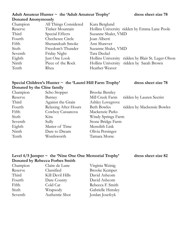#### Adult Amateur Hunter ~ the 'Adult Amateur Trophy' dress sheet size 78 Donated Anonymously

| Champion | All Things Considered | Kara Berglund                                      |
|----------|-----------------------|----------------------------------------------------|
| Reserve  | Tinker Mountain       | Hollins University ridden by Emma Lane Poole       |
| Third    | Special Effects       | Suzanne Shalet, VMD                                |
| Fourth   | Chechesee Circle      | Joan Alberti                                       |
| Fifth    | Shenandoah Smoke      | Ann Shawver                                        |
| Sixth    | Freedom's Thunder     | Suzanne Shalet, VMD                                |
| Seventh  | Friday Night          | Tara Deckel                                        |
| Eighth   | Just One Look         | Hollins University ridden by Blair St. Leger-Olson |
| Ninth    | Piece of the Rock     | Hollins University ridden by Sarah Brown           |
| Tenth    | Rhea                  | Heather Weaver                                     |
|          |                       |                                                    |

## Special Children's Hunter ~ the 'Laurel Hill Farm Trophy' dress sheet size 78 Donated by the Cline family

| Champion | Scho Stopper         | <b>Brooke Bentley</b> |                            |
|----------|----------------------|-----------------------|----------------------------|
| Reserve  | Barney               | Mill Creek Farm       | ridden by Lauren Secrist   |
| Third    | Against the Grain    | Ashley Lovegrove      |                            |
| Fourth   | Relaxing After Hours | <b>Beth Bowles</b>    | ridden by Mackensie Bowles |
| Fifth    | Cowboy Cassanova     | Mackenzie Parks       |                            |
| Sixth    | Kira                 | Windy Springs Farm    |                            |
| Seventh  | Sully                | Stone Bridge Farm     |                            |
| Eighth   | Matter of Time       | Meredith Link         |                            |
| Ninth    | Dare to Dream        | Olivia Persinger      |                            |
| Tenth    | Wordsworth           | Tamara Morse          |                            |

#### Level 4/5 Jumper ~ the 'Nine One One Memorial Trophy' dress sheet size 82 Donated by Rebecca Forbes Smith

| Champion | Claire de Lune   | Virginia Weinig      |
|----------|------------------|----------------------|
| Reserve  | Classified       | <b>Brooke Kemper</b> |
| Third    | Kill Devil Hills | David Ashcom         |
| Fourth   | Dare County      | David Ashcom         |
| Fifth    | Cold Cat         | Rebecca F. Smith     |
| Sixth    | Wrapsody         | Gabrielle Hensley    |
| Seventh  | Authentic Shot   | Jordan Josefcyk      |
|          |                  |                      |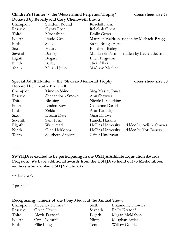### Children's Hunter  $\sim$  the 'Mastermind Perpetual Trophy' dress sheet size 78 Donated by Beverly and Cary Chenoweth Braun

Champion Stardom Bound Rosehill Farm Ninth Bailey Nick Alberti

Reserve Gypsy Rose Rebekah Gross Third Moonshine Emily Guyer Fourth Prado-Gee Maureen Waldron ridden by Michaela Bragg Fifth Sully Sully Stone Bridge Farm Sixth Maury Elizabeth Bailey Seventh Barney Mill Creek Farm ridden by Lauren Secrist Eighth Bogart Ellen Ferguson Tenth Me and Julio Madison Macher

# Special Adult Hunter  $\sim$  the 'Shalako Memorial Trophy' dress sheet size 80 Donated by Claudia Brownell

| Time to Shine    | Meg Massey Jones   |                          |
|------------------|--------------------|--------------------------|
| Shenandoah Smoke | Ann Shawver        |                          |
| Blessing         | Nicole Lenderking  |                          |
| Linden Row       | Catherine Daniel   |                          |
| Zelda            | Ann Turnicky       |                          |
| Dream Date       | Gina Dinovi        |                          |
| Sam I Am         | Pamela Haskins     |                          |
| Watermark        | Hollins University | ridden by Aelish Trouver |
| Glen Heirloom    | Hollins University | ridden by Tori Bauers    |
| Southern Accents | Caitlin Unterman   |                          |
|                  |                    |                          |

========

SWVHJA is excited to be participating in the USHJA Affiliate Equitation Awards Program. We have additional awards from the USHJA to hand out to Medal ribbon winners who are also USHJA members.

\* \* backpack

\* pin/hat

#### Recognizing winners of the Pony Medal at the Annual Show:

|         | Champion Maverick Helmer* * | Sixth   | Brianne Lefanowicz |
|---------|-----------------------------|---------|--------------------|
| Reserve | Grace Hewitt                | Seventh | Reilly Krason*     |
| Third   | Alexia Paxton*              | Eighth  | Megan McMahon      |
| Fourth  | Corie Cozart*               | Ninth   | Meaghan Ryder      |
| Fifth   | Ellie Long                  | Tenth   | Willow Goode       |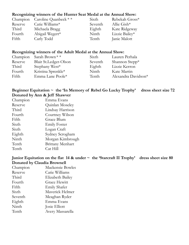#### Recognizing winners of the Hunter Seat Medal at the Annual Show:

|         | Champion Caroline Quanbeck $**$ | Sixth   | Rebekah Gross* |
|---------|---------------------------------|---------|----------------|
| Reserve | Catie Williams $*$              | Seventh | Allie Gish $*$ |
| Third   | Michaela Bragg                  | Eighth  | Kate Ridgeway  |
| Fourth  | Abigail Wegert*                 | Ninth   | Lizzie Bailey* |
| Fifth   | Carly Todd                      | Tenth   | Janie Malott   |

#### Recognizing winners of the Adult Medal at the Annual Show:

|                  | Sixth                                                                                     | Lauren Perhala      |
|------------------|-------------------------------------------------------------------------------------------|---------------------|
|                  | Seventh                                                                                   | Shannon Stepp*      |
|                  | Eighth                                                                                    | Lizzie Kerron       |
|                  | Ninth                                                                                     | Kate Martin         |
| Emma Lane Poole* | Tenth                                                                                     | Alexandra Davidson* |
|                  | Champion Sarah Brown * *<br>Blair St.Ledger-Olson<br>Stephany West*<br>Kristina Sprenkle* |                     |

### Beginner Equitation  $\sim$  the 'In Memory of Rebel Go Lucky Trophy' dress sheet size 72 Donated by Ann & Jeff Shawver

| Champion | Emma Evans              |
|----------|-------------------------|
| Reserve  | Quinlan Moseley         |
| Third    | Lindsay Harrison        |
| Fourth   | Courtney Wilson         |
| Fifth    | Grace Blum              |
| Sixth    | <b>Emily Foster</b>     |
| Sixth    | Logan Craft             |
| Eighth   | Sydney Scrogham         |
| Ninth    | Morgan Kimbrough        |
| Tenth    | <b>Brittany Menhart</b> |
| Tenth    | Cat Hill                |
|          |                         |

#### Junior Equitation on the flat 14 & under  $\sim$  the 'Starcraft II Trophy' dress sheet size 80 Donated by Claudia Brownell

| Champion | <b>Mackensie Bowles</b> |
|----------|-------------------------|
| Reserve  | Catie Williams          |
| Third    | Elizabeth Bailey        |
| Fourth   | <b>Grace Hewitt</b>     |
| Fifth    | <b>Emily Shafer</b>     |
| Sixth    | Maverick Helmer         |
| Seventh  | Meaghan Ryder           |
| Eighth   | Emma Evans              |
| Ninth    | Josie Elliott           |
| Tenth    | Avery Massarella        |